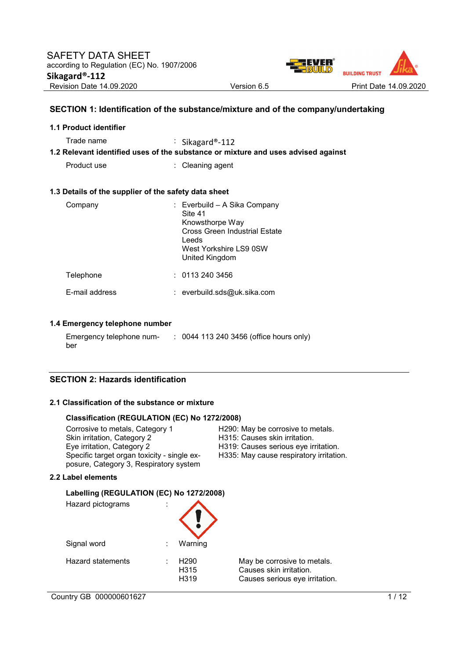

# **SECTION 1: Identification of the substance/mixture and of the company/undertaking**

| 1.1 Product identifier                               |                                                                                                                                                         |
|------------------------------------------------------|---------------------------------------------------------------------------------------------------------------------------------------------------------|
| Trade name                                           | : Sikagard®-112<br>1.2 Relevant identified uses of the substance or mixture and uses advised against                                                    |
| Product use                                          | : Cleaning agent                                                                                                                                        |
| 1.3 Details of the supplier of the safety data sheet |                                                                                                                                                         |
| Company                                              | : Everbuild – A Sika Company<br>Site 41<br>Knowsthorpe Way<br><b>Cross Green Industrial Estate</b><br>Leeds<br>West Yorkshire LS9 0SW<br>United Kingdom |
| Telephone                                            | : 01132403456                                                                                                                                           |
| E-mail address                                       | : everbuild.sds@uk.sika.com                                                                                                                             |

### **1.4 Emergency telephone number**

| Emergency telephone num- | : 0044 113 240 3456 (office hours only) |
|--------------------------|-----------------------------------------|
| ber                      |                                         |

### **SECTION 2: Hazards identification**

### **2.1 Classification of the substance or mixture**

#### **Classification (REGULATION (EC) No 1272/2008)**

| Corrosive to metals, Category 1             | H290: May be corrosive to metals.       |
|---------------------------------------------|-----------------------------------------|
| Skin irritation, Category 2                 | H315: Causes skin irritation.           |
| Eye irritation, Category 2                  | H319: Causes serious eye irritation.    |
| Specific target organ toxicity - single ex- | H335: May cause respiratory irritation. |
| posure, Category 3, Respiratory system      |                                         |

#### **2.2 Label elements**

### **Labelling (REGULATION (EC) No 1272/2008)**

| Hazard pictograms | İ |                                              |                                                                                          |
|-------------------|---|----------------------------------------------|------------------------------------------------------------------------------------------|
| Signal word       | ÷ | Warning                                      |                                                                                          |
| Hazard statements | ٠ | H <sub>290</sub><br>H <sub>315</sub><br>H319 | May be corrosive to metals.<br>Causes skin irritation.<br>Causes serious eye irritation. |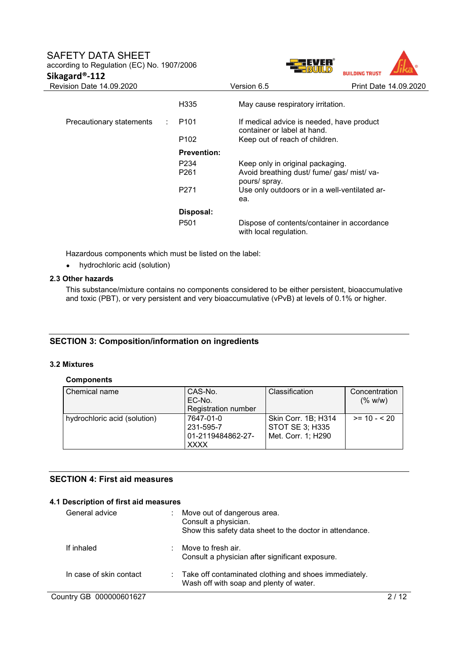### SAFETY DATA SHEFT according to Regulation (EC) No. 1907/2006

**Sikagard®-112** 

| <b>BUILDING TRUST</b> |                       |
|-----------------------|-----------------------|
|                       | Print Date 14,09,2020 |
|                       |                       |

| Revision Date 14.09.2020 |                                       | Version 6.5                                                                                     | Print Date 14,09,2020 |
|--------------------------|---------------------------------------|-------------------------------------------------------------------------------------------------|-----------------------|
|                          | H <sub>335</sub>                      | May cause respiratory irritation.                                                               |                       |
| Precautionary statements | P <sub>101</sub>                      | If medical advice is needed, have product<br>container or label at hand.                        |                       |
|                          | P <sub>102</sub>                      | Keep out of reach of children.                                                                  |                       |
|                          | <b>Prevention:</b>                    |                                                                                                 |                       |
|                          | P <sub>2</sub> 34<br>P <sub>261</sub> | Keep only in original packaging.<br>Avoid breathing dust/ fume/ gas/ mist/ va-<br>pours/ spray. |                       |
|                          | P <sub>271</sub>                      | Use only outdoors or in a well-ventilated ar-<br>ea.                                            |                       |
|                          | Disposal:                             |                                                                                                 |                       |
|                          | P <sub>501</sub>                      | Dispose of contents/container in accordance<br>with local regulation.                           |                       |

Hazardous components which must be listed on the label:

hydrochloric acid (solution)

#### **2.3 Other hazards**

This substance/mixture contains no components considered to be either persistent, bioaccumulative and toxic (PBT), or very persistent and very bioaccumulative (vPvB) at levels of 0.1% or higher.

### **SECTION 3: Composition/information on ingredients**

#### **3.2 Mixtures**

### **Components**

| Chemical name                | CAS-No.                    | <b>Classification</b>  | Concentration |
|------------------------------|----------------------------|------------------------|---------------|
|                              | EC-No.                     |                        | (% w/w)       |
|                              | <b>Registration number</b> |                        |               |
| hydrochloric acid (solution) | 7647-01-0                  | Skin Corr. 1B; H314    | $>= 10 - 520$ |
|                              | 231-595-7                  | <b>STOT SE 3; H335</b> |               |
|                              | 01-2119484862-27-          | Met. Corr. 1; H290     |               |
|                              | <b>XXXX</b>                |                        |               |

### **SECTION 4: First aid measures**

# Country GB 000000601627 2/12 **4.1 Description of first aid measures**  General advice : Move out of dangerous area. Consult a physician. Show this safety data sheet to the doctor in attendance. If inhaled : Move to fresh air. Consult a physician after significant exposure. In case of skin contact : Take off contaminated clothing and shoes immediately. Wash off with soap and plenty of water.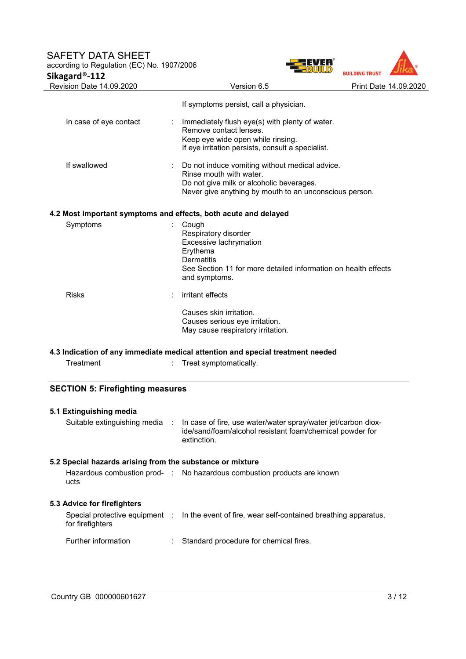# SAFETY DATA SHEET

according to Regulation (EC) No. 1907/2006 **Sikagard®-112** 



| Revision Date 14.09.2020                                        | Version 6.5                                                                                                                                                                     | Print Date 14.09.2020 |
|-----------------------------------------------------------------|---------------------------------------------------------------------------------------------------------------------------------------------------------------------------------|-----------------------|
|                                                                 | If symptoms persist, call a physician.                                                                                                                                          |                       |
| In case of eye contact                                          | Immediately flush eye(s) with plenty of water.<br>Remove contact lenses.<br>Keep eye wide open while rinsing.                                                                   |                       |
|                                                                 | If eye irritation persists, consult a specialist.                                                                                                                               |                       |
| If swallowed                                                    | Do not induce vomiting without medical advice.<br>Rinse mouth with water.<br>Do not give milk or alcoholic beverages.<br>Never give anything by mouth to an unconscious person. |                       |
| 4.2 Most important symptoms and effects, both acute and delayed |                                                                                                                                                                                 |                       |
| Symptoms                                                        | Cough<br>Respiratory disorder<br>Excessive lachrymation<br>Erythema<br><b>Dermatitis</b><br>See Section 11 for more detailed information on health effects<br>and symptoms.     |                       |
| <b>Risks</b>                                                    | irritant effects                                                                                                                                                                |                       |
|                                                                 | Causes skin irritation.<br>Causes serious eye irritation.<br>May cause respiratory irritation.                                                                                  |                       |
|                                                                 | 4.3 Indication of any immediate medical attention and special treatment needed                                                                                                  |                       |
| Treatment                                                       | Treat symptomatically.                                                                                                                                                          |                       |
| <b>SECTION 5: Firefighting measures</b>                         |                                                                                                                                                                                 |                       |
| 5.1 Extinguishing media                                         |                                                                                                                                                                                 |                       |
| Suitable extinguishing media :                                  | In case of fire, use water/water spray/water jet/carbon diox-<br>ide/sand/foam/alcohol resistant foam/chemical powder for<br>extinction.                                        |                       |
| 5.2 Special hazards arising from the substance or mixture       |                                                                                                                                                                                 |                       |
| ucts                                                            | Hazardous combustion prod- : No hazardous combustion products are known                                                                                                         |                       |
| 5.3 Advice for firefighters                                     |                                                                                                                                                                                 |                       |
| Special protective equipment :<br>for firefighters              | In the event of fire, wear self-contained breathing apparatus.                                                                                                                  |                       |

Further information : Standard procedure for chemical fires.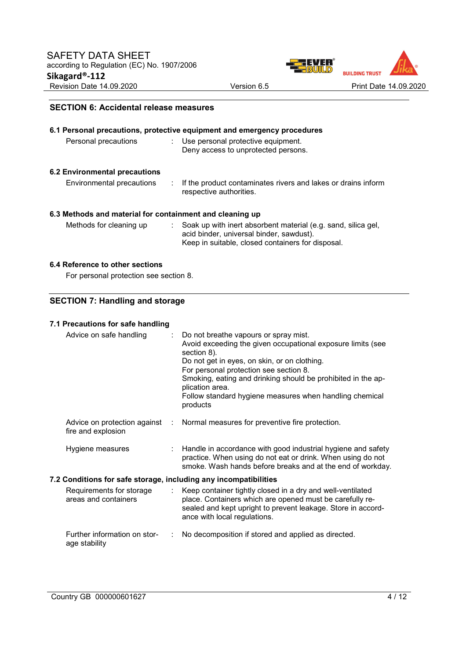

### **SECTION 6: Accidental release measures**

| 6.1 Personal precautions, protective equipment and emergency procedures<br>Personal precautions<br>: Use personal protective equipment. |                                                                                                                                                                |  |  |  |
|-----------------------------------------------------------------------------------------------------------------------------------------|----------------------------------------------------------------------------------------------------------------------------------------------------------------|--|--|--|
|                                                                                                                                         | Deny access to unprotected persons.                                                                                                                            |  |  |  |
| 6.2 Environmental precautions                                                                                                           |                                                                                                                                                                |  |  |  |
| Environmental precautions                                                                                                               | If the product contaminates rivers and lakes or drains inform<br>respective authorities.                                                                       |  |  |  |
| 6.3 Methods and material for containment and cleaning up                                                                                |                                                                                                                                                                |  |  |  |
| Methods for cleaning up                                                                                                                 | Soak up with inert absorbent material (e.g. sand, silica gel,<br>acid binder, universal binder, sawdust).<br>Keep in suitable, closed containers for disposal. |  |  |  |

### **6.4 Reference to other sections**

For personal protection see section 8.

# **SECTION 7: Handling and storage**

### **7.1 Precautions for safe handling**

| Advice on safe handling                                          | Do not breathe vapours or spray mist.<br>Avoid exceeding the given occupational exposure limits (see<br>section 8).<br>Do not get in eyes, on skin, or on clothing.<br>For personal protection see section 8.<br>Smoking, eating and drinking should be prohibited in the ap-<br>plication area.<br>Follow standard hygiene measures when handling chemical<br>products |
|------------------------------------------------------------------|-------------------------------------------------------------------------------------------------------------------------------------------------------------------------------------------------------------------------------------------------------------------------------------------------------------------------------------------------------------------------|
| Advice on protection against<br>÷.<br>fire and explosion         | Normal measures for preventive fire protection.                                                                                                                                                                                                                                                                                                                         |
| Hygiene measures<br>÷                                            | Handle in accordance with good industrial hygiene and safety<br>practice. When using do not eat or drink. When using do not<br>smoke. Wash hands before breaks and at the end of workday.                                                                                                                                                                               |
| 7.2 Conditions for safe storage, including any incompatibilities |                                                                                                                                                                                                                                                                                                                                                                         |
| Requirements for storage<br>t.<br>areas and containers           | Keep container tightly closed in a dry and well-ventilated<br>place. Containers which are opened must be carefully re-<br>sealed and kept upright to prevent leakage. Store in accord-<br>ance with local regulations.                                                                                                                                                  |
| Further information on stor-<br>age stability                    | No decomposition if stored and applied as directed.                                                                                                                                                                                                                                                                                                                     |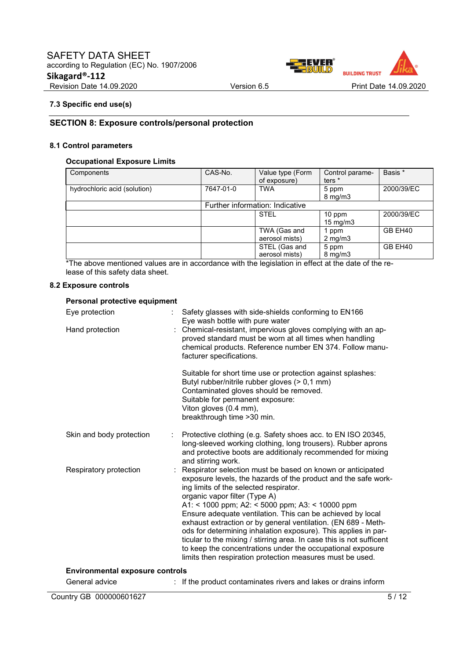

### **7.3 Specific end use(s)**

### **SECTION 8: Exposure controls/personal protection**

#### **8.1 Control parameters**

### **Occupational Exposure Limits**

| Components                   | CAS-No.   | Value type (Form<br>of exposure) | Control parame-<br>ters *   | Basis *    |
|------------------------------|-----------|----------------------------------|-----------------------------|------------|
| hydrochloric acid (solution) | 7647-01-0 | <b>TWA</b>                       | 5 ppm<br>$8 \text{ mg/m}$   | 2000/39/EC |
|                              |           | Further information: Indicative  |                             |            |
|                              |           | <b>STEL</b>                      | 10 ppm<br>$15 \text{ mg/m}$ | 2000/39/EC |
|                              |           | TWA (Gas and<br>aerosol mists)   | 1 ppm<br>$2 \text{ mg/m}$   | GB EH40    |
|                              |           | STEL (Gas and<br>aerosol mists)  | 5 ppm<br>$8 \text{ mg/m}$   | GB EH40    |

\*The above mentioned values are in accordance with the legislation in effect at the date of the release of this safety data sheet.

#### **8.2 Exposure controls**

### **Personal protective equipment**

| Eye protection<br>Hand protection      | Safety glasses with side-shields conforming to EN166<br>Eye wash bottle with pure water<br>: Chemical-resistant, impervious gloves complying with an ap-<br>proved standard must be worn at all times when handling<br>chemical products. Reference number EN 374. Follow manu-<br>facturer specifications.<br>Suitable for short time use or protection against splashes:<br>Butyl rubber/nitrile rubber gloves (> 0,1 mm)<br>Contaminated gloves should be removed.<br>Suitable for permanent exposure:<br>Viton gloves (0.4 mm),<br>breakthrough time > 30 min.                                                                                             |
|----------------------------------------|----------------------------------------------------------------------------------------------------------------------------------------------------------------------------------------------------------------------------------------------------------------------------------------------------------------------------------------------------------------------------------------------------------------------------------------------------------------------------------------------------------------------------------------------------------------------------------------------------------------------------------------------------------------|
| Skin and body protection               | Protective clothing (e.g. Safety shoes acc. to EN ISO 20345,<br>long-sleeved working clothing, long trousers). Rubber aprons<br>and protective boots are additionaly recommended for mixing<br>and stirring work.                                                                                                                                                                                                                                                                                                                                                                                                                                              |
| Respiratory protection                 | Respirator selection must be based on known or anticipated<br>exposure levels, the hazards of the product and the safe work-<br>ing limits of the selected respirator.<br>organic vapor filter (Type A)<br>A1: < 1000 ppm; A2: < 5000 ppm; A3: < 10000 ppm<br>Ensure adequate ventilation. This can be achieved by local<br>exhaust extraction or by general ventilation. (EN 689 - Meth-<br>ods for determining inhalation exposure). This applies in par-<br>ticular to the mixing / stirring area. In case this is not sufficent<br>to keep the concentrations under the occupational exposure<br>limits then respiration protection measures must be used. |
| <b>Environmental exposure controls</b> |                                                                                                                                                                                                                                                                                                                                                                                                                                                                                                                                                                                                                                                                |
| General advice                         | If the product contaminates rivers and lakes or drains inform                                                                                                                                                                                                                                                                                                                                                                                                                                                                                                                                                                                                  |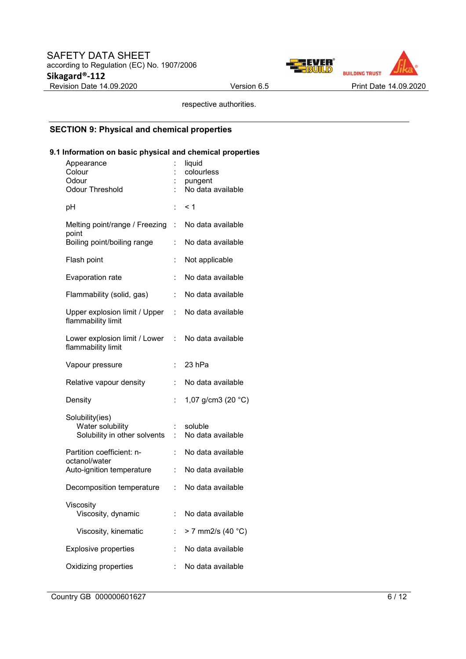

respective authorities.

# **SECTION 9: Physical and chemical properties**

### **9.1 Information on basic physical and chemical properties**

| Appearance<br>Colour<br>Odour<br><b>Odour Threshold</b>             |                | liquid<br>colourless<br>pungent<br>No data available |
|---------------------------------------------------------------------|----------------|------------------------------------------------------|
| рH                                                                  | $\ddot{\cdot}$ | < 1                                                  |
| Melting point/range / Freezing<br>point                             | ÷.             | No data available                                    |
| Boiling point/boiling range                                         |                | No data available                                    |
| Flash point                                                         |                | Not applicable                                       |
| Evaporation rate                                                    | $\ddot{\cdot}$ | No data available                                    |
| Flammability (solid, gas)                                           | ÷              | No data available                                    |
| Upper explosion limit / Upper<br>flammability limit                 | t.             | No data available                                    |
| Lower explosion limit / Lower<br>flammability limit                 | ÷.             | No data available                                    |
| Vapour pressure                                                     | ÷              | 23 hPa                                               |
| Relative vapour density                                             |                | No data available                                    |
| Density                                                             | Î.             | 1,07 g/cm3 (20 °C)                                   |
| Solubility(ies)<br>Water solubility<br>Solubility in other solvents |                | soluble<br>No data available                         |
| Partition coefficient: n-<br>octanol/water                          | ÷              | No data available                                    |
| Auto-ignition temperature                                           | ÷              | No data available                                    |
| Decomposition temperature                                           | t.             | No data available                                    |
| Viscositv<br>Viscosity, dynamic                                     |                | No data available                                    |
| Viscosity, kinematic                                                |                | > 7 mm2/s (40 °C)                                    |
| <b>Explosive properties</b>                                         |                | No data available                                    |
| Oxidizing properties                                                |                | No data available                                    |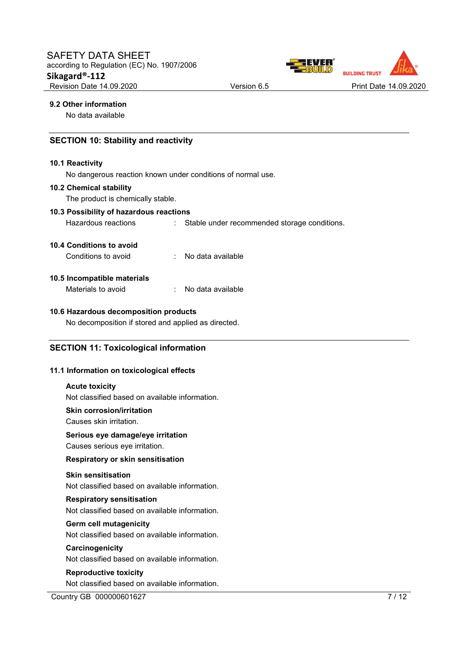

#### **9.2 Other information**

No data available

### **SECTION 10: Stability and reactivity**

#### **10.1 Reactivity**

No dangerous reaction known under conditions of normal use.

#### **10.2 Chemical stability**

The product is chemically stable.

### **10.3 Possibility of hazardous reactions**

Hazardous reactions : Stable under recommended storage conditions.

### **10.4 Conditions to avoid**

| No data available |
|-------------------|
|                   |

#### **10.5 Incompatible materials**

Materials to avoid : No data available

#### **10.6 Hazardous decomposition products**

No decomposition if stored and applied as directed.

### **SECTION 11: Toxicological information**

#### **11.1 Information on toxicological effects**

#### **Acute toxicity**

Not classified based on available information.

**Skin corrosion/irritation** 

Causes skin irritation.

#### **Serious eye damage/eye irritation**

Causes serious eye irritation.

#### **Respiratory or skin sensitisation**

### **Skin sensitisation**

Not classified based on available information.

#### **Respiratory sensitisation**

Not classified based on available information.

### **Germ cell mutagenicity**

Not classified based on available information.

#### **Carcinogenicity**

Not classified based on available information.

#### **Reproductive toxicity**

Not classified based on available information.

Country GB 000000601627 7/12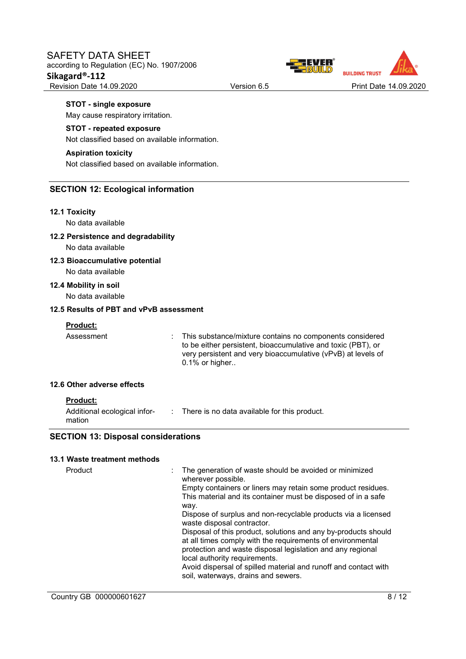

#### **STOT - single exposure**

May cause respiratory irritation.

#### **STOT - repeated exposure**

Not classified based on available information.

#### **Aspiration toxicity**

Not classified based on available information.

### **SECTION 12: Ecological information**

#### **12.1 Toxicity**

No data available

#### **12.2 Persistence and degradability**

No data available

#### **12.3 Bioaccumulative potential**  No data available

**12.4 Mobility in soil** 

No data available

### **12.5 Results of PBT and vPvB assessment**

#### **Product:**

Assessment : This substance/mixture contains no components considered to be either persistent, bioaccumulative and toxic (PBT), or very persistent and very bioaccumulative (vPvB) at levels of 0.1% or higher..

#### **12.6 Other adverse effects**

### **Product:**

Additional ecological infor-: There is no data available for this product. mation

### **SECTION 13: Disposal considerations**

#### **13.1 Waste treatment methods**

| Product | The generation of waste should be avoided or minimized<br>wherever possible.                                                                                                                                                |
|---------|-----------------------------------------------------------------------------------------------------------------------------------------------------------------------------------------------------------------------------|
|         | Empty containers or liners may retain some product residues.                                                                                                                                                                |
|         | This material and its container must be disposed of in a safe<br>way.                                                                                                                                                       |
|         | Dispose of surplus and non-recyclable products via a licensed<br>waste disposal contractor.                                                                                                                                 |
|         | Disposal of this product, solutions and any by-products should<br>at all times comply with the requirements of environmental<br>protection and waste disposal legislation and any regional<br>local authority requirements. |
|         | Avoid dispersal of spilled material and runoff and contact with<br>soil, waterways, drains and sewers.                                                                                                                      |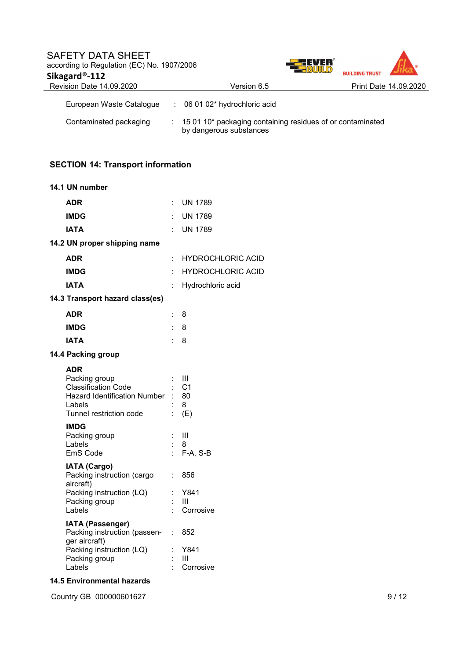| <b>SAFETY DATA SHEET</b><br>according to Regulation (EC) No. 1907/2006<br>Sikagard®-112 | 77 EVER                                                                                 | <b>BUILDING TRUST</b> |                       |
|-----------------------------------------------------------------------------------------|-----------------------------------------------------------------------------------------|-----------------------|-----------------------|
| Revision Date 14.09.2020                                                                | Version 6.5                                                                             |                       | Print Date 14,09,2020 |
| European Waste Catalogue                                                                | : 06 01 02* hydrochloric acid                                                           |                       |                       |
| Contaminated packaging                                                                  | : 15 01 10* packaging containing residues of or contaminated<br>by dangerous substances |                       |                       |

# **SECTION 14: Transport information**

| 14.1 UN number                                                                                                                        |                                   |                                       |
|---------------------------------------------------------------------------------------------------------------------------------------|-----------------------------------|---------------------------------------|
| <b>ADR</b>                                                                                                                            | ÷.                                | <b>UN 1789</b>                        |
| <b>IMDG</b>                                                                                                                           | ÷                                 | <b>UN 1789</b>                        |
| <b>IATA</b>                                                                                                                           | t.                                | <b>UN 1789</b>                        |
| 14.2 UN proper shipping name                                                                                                          |                                   |                                       |
| <b>ADR</b>                                                                                                                            | ÷                                 | <b>HYDROCHLORIC ACID</b>              |
| <b>IMDG</b>                                                                                                                           | t                                 | <b>HYDROCHLORIC ACID</b>              |
| <b>IATA</b>                                                                                                                           | ÷                                 | Hydrochloric acid                     |
| 14.3 Transport hazard class(es)                                                                                                       |                                   |                                       |
| <b>ADR</b>                                                                                                                            | t.                                | 8                                     |
| <b>IMDG</b>                                                                                                                           | ÷.                                | 8                                     |
| <b>IATA</b>                                                                                                                           |                                   | 8                                     |
| 14.4 Packing group                                                                                                                    |                                   |                                       |
| <b>ADR</b><br>Packing group<br><b>Classification Code</b><br><b>Hazard Identification Number</b><br>Labels<br>Tunnel restriction code |                                   | Ш<br>C <sub>1</sub><br>80<br>8<br>(E) |
| <b>IMDG</b><br>Packing group<br>Labels<br>EmS Code                                                                                    |                                   | Ш<br>8<br>F-A, S-B                    |
| <b>IATA (Cargo)</b><br>Packing instruction (cargo<br>aircraft)<br>Packing instruction (LQ)<br>Packing group<br>Labels                 | ÷.                                | 856<br>Y841<br>Ш<br>Corrosive         |
| IATA (Passenger)<br>Packing instruction (passen-<br>ger aircraft)<br>Packing instruction (LQ)<br>Packing group<br>Labels              | $\mathbb{Z}^{\mathbb{Z}}$ .<br>İ. | 852<br>Y841<br>Ш<br>Corrosive         |

## **14.5 Environmental hazards**

Country GB 000000601627 9/12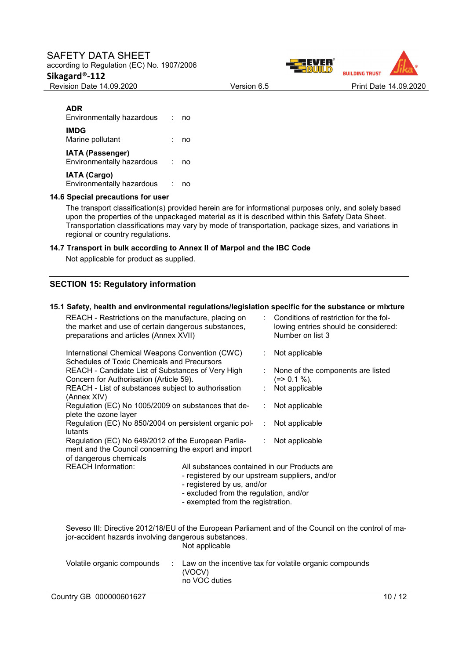### SAFETY DATA SHEET according to Regulation (EC) No. 1907/2006

# **Sikagard®-112**



### **ADR**

Environmentally hazardous : no **IMDG** Marine pollutant : no **IATA (Passenger)** Environmentally hazardous : no **IATA (Cargo)** Environmentally hazardous : no

#### **14.6 Special precautions for user**

The transport classification(s) provided herein are for informational purposes only, and solely based upon the properties of the unpackaged material as it is described within this Safety Data Sheet. Transportation classifications may vary by mode of transportation, package sizes, and variations in regional or country regulations.

#### **14.7 Transport in bulk according to Annex II of Marpol and the IBC Code**

Not applicable for product as supplied.

### **SECTION 15: Regulatory information**

### **15.1 Safety, health and environmental regulations/legislation specific for the substance or mixture**

| REACH - Restrictions on the manufacture, placing on<br>the market and use of certain dangerous substances,<br>preparations and articles (Annex XVII) |                                                                        |                                                                                                                                                                                                             | Conditions of restriction for the fol-<br>lowing entries should be considered:<br>Number on list 3   |  |
|------------------------------------------------------------------------------------------------------------------------------------------------------|------------------------------------------------------------------------|-------------------------------------------------------------------------------------------------------------------------------------------------------------------------------------------------------------|------------------------------------------------------------------------------------------------------|--|
| International Chemical Weapons Convention (CWC)<br>Schedules of Toxic Chemicals and Precursors                                                       |                                                                        |                                                                                                                                                                                                             | Not applicable<br>÷                                                                                  |  |
| REACH - Candidate List of Substances of Very High<br>Concern for Authorisation (Article 59).                                                         |                                                                        |                                                                                                                                                                                                             | None of the components are listed<br>$(=>0.1\%).$                                                    |  |
| (Annex XIV)                                                                                                                                          | REACH - List of substances subject to authorisation                    |                                                                                                                                                                                                             | Not applicable                                                                                       |  |
| plete the ozone layer                                                                                                                                | Regulation (EC) No 1005/2009 on substances that de-                    | ÷                                                                                                                                                                                                           | Not applicable                                                                                       |  |
| Regulation (EC) No 850/2004 on persistent organic pol-<br>lutants                                                                                    |                                                                        |                                                                                                                                                                                                             | Not applicable                                                                                       |  |
| Regulation (EC) No 649/2012 of the European Parlia-<br>ment and the Council concerning the export and import<br>of dangerous chemicals               |                                                                        |                                                                                                                                                                                                             | Not applicable<br>$\mathcal{L}_{\mathcal{A}}$                                                        |  |
| <b>REACH Information:</b>                                                                                                                            |                                                                        | All substances contained in our Products are<br>- registered by our upstream suppliers, and/or<br>- registered by us, and/or<br>- excluded from the regulation, and/or<br>- exempted from the registration. |                                                                                                      |  |
|                                                                                                                                                      | jor-accident hazards involving dangerous substances.<br>Not applicable |                                                                                                                                                                                                             | Seveso III: Directive 2012/18/EU of the European Parliament and of the Council on the control of ma- |  |
| Volatile organic compounds<br>÷<br>(VOCV)<br>no VOC duties                                                                                           |                                                                        |                                                                                                                                                                                                             | Law on the incentive tax for volatile organic compounds                                              |  |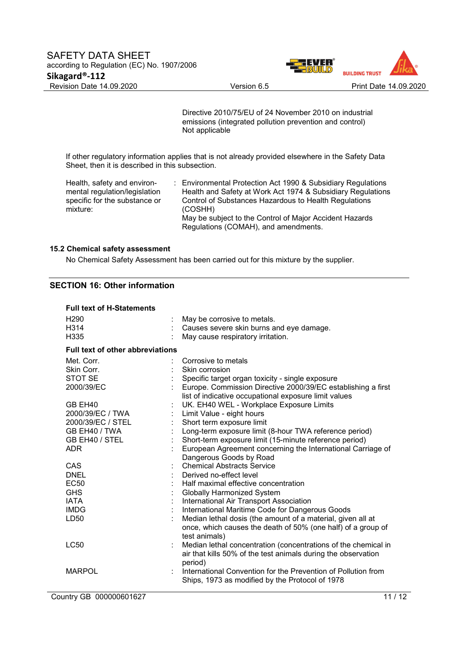

Directive 2010/75/EU of 24 November 2010 on industrial emissions (integrated pollution prevention and control) Not applicable

If other regulatory information applies that is not already provided elsewhere in the Safety Data Sheet, then it is described in this subsection.

Health, safety and environmental regulation/legislation specific for the substance or mixture:

: Environmental Protection Act 1990 & Subsidiary Regulations Health and Safety at Work Act 1974 & Subsidiary Regulations Control of Substances Hazardous to Health Regulations (COSHH) May be subject to the Control of Major Accident Hazards Regulations (COMAH), and amendments.

#### **15.2 Chemical safety assessment**

No Chemical Safety Assessment has been carried out for this mixture by the supplier.

## **SECTION 16: Other information**

| <b>Full text of H-Statements</b>        |                                                                |
|-----------------------------------------|----------------------------------------------------------------|
| H <sub>290</sub>                        | May be corrosive to metals.                                    |
| H314                                    | Causes severe skin burns and eye damage.                       |
| H <sub>335</sub>                        | May cause respiratory irritation.                              |
| <b>Full text of other abbreviations</b> |                                                                |
| Met. Corr.                              | Corrosive to metals                                            |
| Skin Corr.                              | Skin corrosion                                                 |
| STOT SE                                 | Specific target organ toxicity - single exposure               |
| 2000/39/EC                              | Europe. Commission Directive 2000/39/EC establishing a first   |
|                                         | list of indicative occupational exposure limit values          |
| GB EH40                                 | UK. EH40 WEL - Workplace Exposure Limits                       |
| 2000/39/EC / TWA                        | Limit Value - eight hours                                      |
| 2000/39/EC / STEL                       | Short term exposure limit                                      |
| GB EH40 / TWA                           | Long-term exposure limit (8-hour TWA reference period)         |
| GB EH40 / STEL                          | Short-term exposure limit (15-minute reference period)         |
| ADR.                                    | European Agreement concerning the International Carriage of    |
|                                         | Dangerous Goods by Road                                        |
| CAS                                     | <b>Chemical Abstracts Service</b>                              |
| <b>DNEL</b>                             | Derived no-effect level                                        |
| EC50                                    | Half maximal effective concentration                           |
| <b>GHS</b>                              | <b>Globally Harmonized System</b>                              |
| <b>IATA</b>                             | International Air Transport Association                        |
| <b>IMDG</b>                             | International Maritime Code for Dangerous Goods                |
| LD50                                    | Median lethal dosis (the amount of a material, given all at    |
|                                         | once, which causes the death of 50% (one half) of a group of   |
|                                         | test animals)                                                  |
| LC50                                    | Median lethal concentration (concentrations of the chemical in |
|                                         | air that kills 50% of the test animals during the observation  |
|                                         | period)                                                        |
| <b>MARPOL</b>                           | International Convention for the Prevention of Pollution from  |
|                                         | Ships, 1973 as modified by the Protocol of 1978                |
|                                         |                                                                |